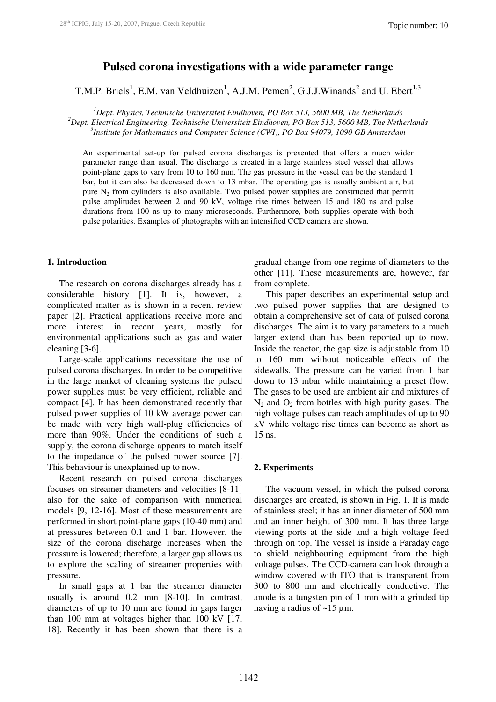# **Pulsed corona investigations with a wide parameter range**

T.M.P. Briels<sup>1</sup>, E.M. van Veldhuizen<sup>1</sup>, A.J.M. Pemen<sup>2</sup>, G.J.J.Winands<sup>2</sup> and U. Ebert<sup>1,3</sup>

*<sup>1</sup>Dept. Physics, Technische Universiteit Eindhoven, PO Box 513, 5600 MB, The Netherlands <sup>2</sup>Dept. Electrical Engineering, Technische Universiteit Eindhoven, PO Box 513, 5600 MB, The Netherlands 3 Institute for Mathematics and Computer Science (CWI), PO Box 94079, 1090 GB Amsterdam*

An experimental set-up for pulsed corona discharges is presented that offers a much wider parameter range than usual. The discharge is created in a large stainless steel vessel that allows point-plane gaps to vary from 10 to 160 mm. The gas pressure in the vessel can be the standard 1 bar, but it can also be decreased down to 13 mbar. The operating gas is usually ambient air, but pure N2 from cylinders is also available. Two pulsed power supplies are constructed that permit pulse amplitudes between 2 and 90 kV, voltage rise times between 15 and 180 ns and pulse durations from 100 ns up to many microseconds. Furthermore, both supplies operate with both pulse polarities. Examples of photographs with an intensified CCD camera are shown.

## **1. Introduction**

The research on corona discharges already has a considerable history [1]. It is, however, a complicated matter as is shown in a recent review paper [2]. Practical applications receive more and more interest in recent years, mostly for environmental applications such as gas and water cleaning [3-6].

Large-scale applications necessitate the use of pulsed corona discharges. In order to be competitive in the large market of cleaning systems the pulsed power supplies must be very efficient, reliable and compact [4]. It has been demonstrated recently that pulsed power supplies of 10 kW average power can be made with very high wall-plug efficiencies of more than 90%. Under the conditions of such a supply, the corona discharge appears to match itself to the impedance of the pulsed power source [7]. This behaviour is unexplained up to now.

Recent research on pulsed corona discharges focuses on streamer diameters and velocities [8-11] also for the sake of comparison with numerical models [9, 12-16]. Most of these measurements are performed in short point-plane gaps (10-40 mm) and at pressures between 0.1 and 1 bar. However, the size of the corona discharge increases when the pressure is lowered; therefore, a larger gap allows us to explore the scaling of streamer properties with pressure.

In small gaps at 1 bar the streamer diameter usually is around 0.2 mm [8-10]. In contrast, diameters of up to 10 mm are found in gaps larger than 100 mm at voltages higher than 100 kV [17, 18]. Recently it has been shown that there is a gradual change from one regime of diameters to the other [11]. These measurements are, however, far from complete.

This paper describes an experimental setup and two pulsed power supplies that are designed to obtain a comprehensive set of data of pulsed corona discharges. The aim is to vary parameters to a much larger extend than has been reported up to now. Inside the reactor, the gap size is adjustable from 10 to 160 mm without noticeable effects of the sidewalls. The pressure can be varied from 1 bar down to 13 mbar while maintaining a preset flow. The gases to be used are ambient air and mixtures of  $N_2$  and  $O_2$  from bottles with high purity gases. The high voltage pulses can reach amplitudes of up to 90 kV while voltage rise times can become as short as 15 ns.

#### **2. Experiments**

 The vacuum vessel, in which the pulsed corona discharges are created, is shown in Fig. 1. It is made of stainless steel; it has an inner diameter of 500 mm and an inner height of 300 mm. It has three large viewing ports at the side and a high voltage feed through on top. The vessel is inside a Faraday cage to shield neighbouring equipment from the high voltage pulses. The CCD-camera can look through a window covered with ITO that is transparent from 300 to 800 nm and electrically conductive. The anode is a tungsten pin of 1 mm with a grinded tip having a radius of  $\sim$ 15 µm.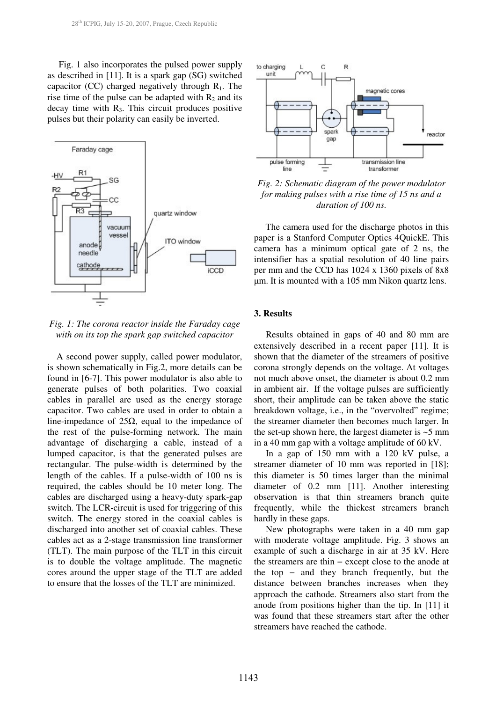Fig. 1 also incorporates the pulsed power supply as described in [11]. It is a spark gap (SG) switched capacitor (CC) charged negatively through  $R_1$ . The rise time of the pulse can be adapted with  $R_2$  and its decay time with  $R<sub>3</sub>$ . This circuit produces positive pulses but their polarity can easily be inverted.



*Fig. 1: The corona reactor inside the Faraday cage with on its top the spark gap switched capacitor* 

 A second power supply, called power modulator, is shown schematically in Fig.2, more details can be found in [6-7]. This power modulator is also able to generate pulses of both polarities. Two coaxial cables in parallel are used as the energy storage capacitor. Two cables are used in order to obtain a line-impedance of 25Ω, equal to the impedance of the rest of the pulse-forming network. The main advantage of discharging a cable, instead of a lumped capacitor, is that the generated pulses are rectangular. The pulse-width is determined by the length of the cables. If a pulse-width of 100 ns is required, the cables should be 10 meter long. The cables are discharged using a heavy-duty spark-gap switch. The LCR-circuit is used for triggering of this switch. The energy stored in the coaxial cables is discharged into another set of coaxial cables. These cables act as a 2-stage transmission line transformer (TLT). The main purpose of the TLT in this circuit is to double the voltage amplitude. The magnetic cores around the upper stage of the TLT are added to ensure that the losses of the TLT are minimized.



*Fig. 2: Schematic diagram of the power modulator for making pulses with a rise time of 15 ns and a duration of 100 ns.* 

 The camera used for the discharge photos in this paper is a Stanford Computer Optics 4QuickE. This camera has a minimum optical gate of 2 ns, the intensifier has a spatial resolution of 40 line pairs per mm and the CCD has 1024 x 1360 pixels of 8x8 µm. It is mounted with a 105 mm Nikon quartz lens.

## **3. Results**

Results obtained in gaps of 40 and 80 mm are extensively described in a recent paper [11]. It is shown that the diameter of the streamers of positive corona strongly depends on the voltage. At voltages not much above onset, the diameter is about 0.2 mm in ambient air. If the voltage pulses are sufficiently short, their amplitude can be taken above the static breakdown voltage, i.e., in the "overvolted" regime; the streamer diameter then becomes much larger. In the set-up shown here, the largest diameter is  $\sim$  5 mm in a 40 mm gap with a voltage amplitude of 60 kV.

In a gap of 150 mm with a 120 kV pulse, a streamer diameter of 10 mm was reported in [18]; this diameter is 50 times larger than the minimal diameter of 0.2 mm [11]. Another interesting observation is that thin streamers branch quite frequently, while the thickest streamers branch hardly in these gaps.

New photographs were taken in a 40 mm gap with moderate voltage amplitude. Fig. 3 shows an example of such a discharge in air at 35 kV. Here the streamers are thin − except close to the anode at the top − and they branch frequently, but the distance between branches increases when they approach the cathode. Streamers also start from the anode from positions higher than the tip. In [11] it was found that these streamers start after the other streamers have reached the cathode.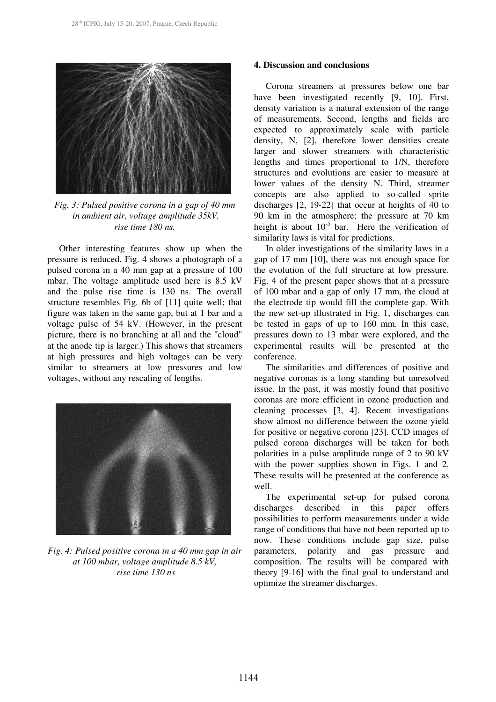

*Fig. 3: Pulsed positive corona in a gap of 40 mm in ambient air, voltage amplitude 35kV, rise time 180 ns.* 

Other interesting features show up when the pressure is reduced. Fig. 4 shows a photograph of a pulsed corona in a 40 mm gap at a pressure of 100 mbar. The voltage amplitude used here is 8.5 kV and the pulse rise time is 130 ns. The overall structure resembles Fig. 6b of [11] quite well; that figure was taken in the same gap, but at 1 bar and a voltage pulse of 54 kV. (However, in the present picture, there is no branching at all and the "cloud" at the anode tip is larger.) This shows that streamers at high pressures and high voltages can be very similar to streamers at low pressures and low voltages, without any rescaling of lengths.



*Fig. 4: Pulsed positive corona in a 40 mm gap in air at 100 mbar, voltage amplitude 8.5 kV, rise time 130 ns*

## **4. Discussion and conclusions**

Corona streamers at pressures below one bar have been investigated recently [9, 10]. First, density variation is a natural extension of the range of measurements. Second, lengths and fields are expected to approximately scale with particle density, N, [2], therefore lower densities create larger and slower streamers with characteristic lengths and times proportional to 1/N, therefore structures and evolutions are easier to measure at lower values of the density N. Third, streamer concepts are also applied to so-called sprite discharges [2, 19-22] that occur at heights of 40 to 90 km in the atmosphere; the pressure at 70 km height is about  $10^{-5}$  bar. Here the verification of similarity laws is vital for predictions.

In older investigations of the similarity laws in a gap of 17 mm [10], there was not enough space for the evolution of the full structure at low pressure. Fig. 4 of the present paper shows that at a pressure of 100 mbar and a gap of only 17 mm, the cloud at the electrode tip would fill the complete gap. With the new set-up illustrated in Fig. 1, discharges can be tested in gaps of up to 160 mm. In this case, pressures down to 13 mbar were explored, and the experimental results will be presented at the conference.

 The similarities and differences of positive and negative coronas is a long standing but unresolved issue. In the past, it was mostly found that positive coronas are more efficient in ozone production and cleaning processes [3, 4]. Recent investigations show almost no difference between the ozone yield for positive or negative corona [23]. CCD images of pulsed corona discharges will be taken for both polarities in a pulse amplitude range of 2 to 90 kV with the power supplies shown in Figs. 1 and 2. These results will be presented at the conference as well.

The experimental set-up for pulsed corona discharges described in this paper offers possibilities to perform measurements under a wide range of conditions that have not been reported up to now. These conditions include gap size, pulse parameters, polarity and gas pressure and composition. The results will be compared with theory [9-16] with the final goal to understand and optimize the streamer discharges.